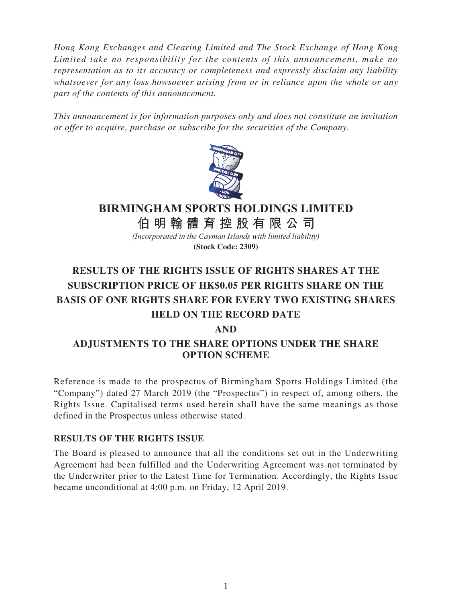*Hong Kong Exchanges and Clearing Limited and The Stock Exchange of Hong Kong Limited take no responsibility for the contents of this announcement, make no representation as to its accuracy or completeness and expressly disclaim any liability whatsoever for any loss howsoever arising from or in reliance upon the whole or any part of the contents of this announcement.*

*This announcement is for information purposes only and does not constitute an invitation or offer to acquire, purchase or subscribe for the securities of the Company.*



## **BIRMINGHAM SPORTS HOLDINGS LIMITED**

**伯明翰體育控股有限公 司**

*(Incorporated in the Cayman Islands with limited liability)* **(Stock Code: 2309)**

# **RESULTS OF THE RIGHTS ISSUE OF RIGHTS SHARES AT THE SUBSCRIPTION PRICE OF HK\$0.05 PER RIGHTS SHARE ON THE BASIS OF ONE RIGHTS SHARE FOR EVERY TWO EXISTING SHARES HELD ON THE RECORD DATE**

## **AND**

## **ADJUSTMENTS TO THE SHARE OPTIONS UNDER THE SHARE OPTION SCHEME**

Reference is made to the prospectus of Birmingham Sports Holdings Limited (the "Company") dated 27 March 2019 (the "Prospectus") in respect of, among others, the Rights Issue. Capitalised terms used herein shall have the same meanings as those defined in the Prospectus unless otherwise stated.

#### **RESULTS OF THE RIGHTS ISSUE**

The Board is pleased to announce that all the conditions set out in the Underwriting Agreement had been fulfilled and the Underwriting Agreement was not terminated by the Underwriter prior to the Latest Time for Termination. Accordingly, the Rights Issue became unconditional at 4:00 p.m. on Friday, 12 April 2019.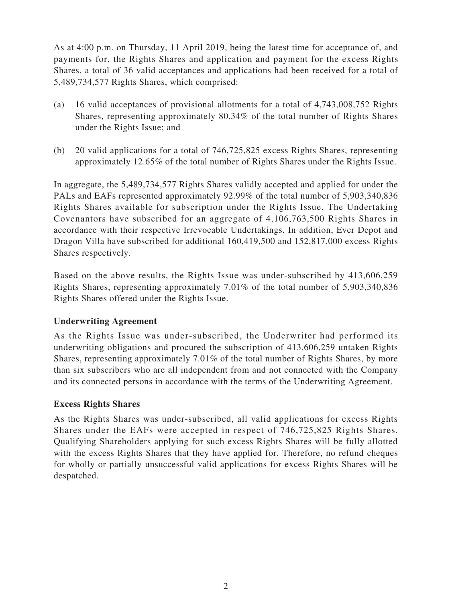As at 4:00 p.m. on Thursday, 11 April 2019, being the latest time for acceptance of, and payments for, the Rights Shares and application and payment for the excess Rights Shares, a total of 36 valid acceptances and applications had been received for a total of 5,489,734,577 Rights Shares, which comprised:

- (a) 16 valid acceptances of provisional allotments for a total of 4,743,008,752 Rights Shares, representing approximately 80.34% of the total number of Rights Shares under the Rights Issue; and
- (b) 20 valid applications for a total of 746,725,825 excess Rights Shares, representing approximately 12.65% of the total number of Rights Shares under the Rights Issue.

In aggregate, the 5,489,734,577 Rights Shares validly accepted and applied for under the PALs and EAFs represented approximately 92.99% of the total number of 5,903,340,836 Rights Shares available for subscription under the Rights Issue. The Undertaking Covenantors have subscribed for an aggregate of 4,106,763,500 Rights Shares in accordance with their respective Irrevocable Undertakings. In addition, Ever Depot and Dragon Villa have subscribed for additional 160,419,500 and 152,817,000 excess Rights Shares respectively.

Based on the above results, the Rights Issue was under-subscribed by 413,606,259 Rights Shares, representing approximately 7.01% of the total number of 5,903,340,836 Rights Shares offered under the Rights Issue.

#### **Underwriting Agreement**

As the Rights Issue was under-subscribed, the Underwriter had performed its underwriting obligations and procured the subscription of 413,606,259 untaken Rights Shares, representing approximately 7.01% of the total number of Rights Shares, by more than six subscribers who are all independent from and not connected with the Company and its connected persons in accordance with the terms of the Underwriting Agreement.

#### **Excess Rights Shares**

As the Rights Shares was under-subscribed, all valid applications for excess Rights Shares under the EAFs were accepted in respect of 746,725,825 Rights Shares. Qualifying Shareholders applying for such excess Rights Shares will be fully allotted with the excess Rights Shares that they have applied for. Therefore, no refund cheques for wholly or partially unsuccessful valid applications for excess Rights Shares will be despatched.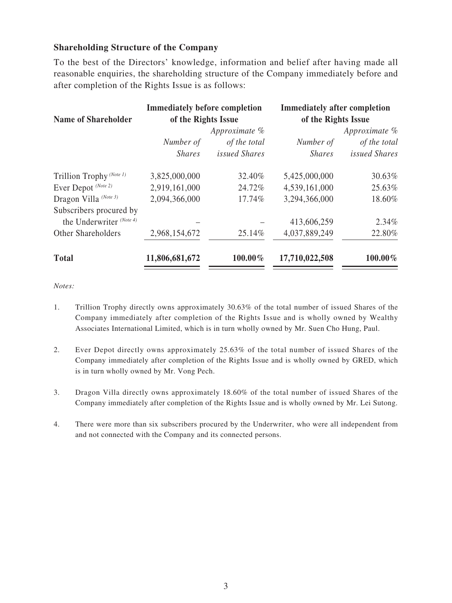#### **Shareholding Structure of the Company**

To the best of the Directors' knowledge, information and belief after having made all reasonable enquiries, the shareholding structure of the Company immediately before and after completion of the Rights Issue is as follows:

| <b>Name of Shareholder</b> | <b>Immediately before completion</b><br>of the Rights Issue<br>Approximate % |                      | <b>Immediately after completion</b><br>of the Rights Issue<br>Approximate $%$ |               |
|----------------------------|------------------------------------------------------------------------------|----------------------|-------------------------------------------------------------------------------|---------------|
|                            |                                                                              |                      |                                                                               |               |
|                            | <b>Shares</b>                                                                | <i>issued Shares</i> | <b>Shares</b>                                                                 | issued Shares |
|                            | Trillion Trophy <sup>(Note 1)</sup>                                          | 3,825,000,000        | 32.40%                                                                        | 5,425,000,000 |
| Ever Depot (Note 2)        | 2,919,161,000                                                                | 24.72%               | 4,539,161,000                                                                 | 25.63%        |
| Dragon Villa (Note 3)      | 2,094,366,000                                                                | 17.74%               | 3,294,366,000                                                                 | 18.60%        |
| Subscribers procured by    |                                                                              |                      |                                                                               |               |
| the Underwriter (Note 4)   |                                                                              |                      | 413,606,259                                                                   | $2.34\%$      |
| Other Shareholders         | 2,968,154,672                                                                | 25.14%               | 4,037,889,249                                                                 | 22.80%        |
| <b>Total</b>               | 11,806,681,672                                                               | 100.00%              | 17,710,022,508                                                                | 100.00%       |

*Notes:*

- 1. Trillion Trophy directly owns approximately 30.63% of the total number of issued Shares of the Company immediately after completion of the Rights Issue and is wholly owned by Wealthy Associates International Limited, which is in turn wholly owned by Mr. Suen Cho Hung, Paul.
- 2. Ever Depot directly owns approximately 25.63% of the total number of issued Shares of the Company immediately after completion of the Rights Issue and is wholly owned by GRED, which is in turn wholly owned by Mr. Vong Pech.
- 3. Dragon Villa directly owns approximately 18.60% of the total number of issued Shares of the Company immediately after completion of the Rights Issue and is wholly owned by Mr. Lei Sutong.
- 4. There were more than six subscribers procured by the Underwriter, who were all independent from and not connected with the Company and its connected persons.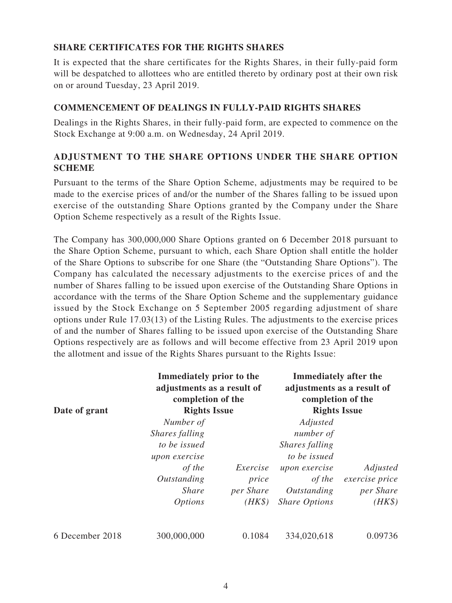#### **SHARE CERTIFICATES FOR THE RIGHTS SHARES**

It is expected that the share certificates for the Rights Shares, in their fully-paid form will be despatched to allottees who are entitled thereto by ordinary post at their own risk on or around Tuesday, 23 April 2019.

#### **COMMENCEMENT OF DEALINGS IN FULLY-PAID RIGHTS SHARES**

Dealings in the Rights Shares, in their fully-paid form, are expected to commence on the Stock Exchange at 9:00 a.m. on Wednesday, 24 April 2019.

### **ADJUSTMENT TO THE SHARE OPTIONS UNDER THE SHARE OPTION SCHEME**

Pursuant to the terms of the Share Option Scheme, adjustments may be required to be made to the exercise prices of and/or the number of the Shares falling to be issued upon exercise of the outstanding Share Options granted by the Company under the Share Option Scheme respectively as a result of the Rights Issue.

The Company has 300,000,000 Share Options granted on 6 December 2018 pursuant to the Share Option Scheme, pursuant to which, each Share Option shall entitle the holder of the Share Options to subscribe for one Share (the "Outstanding Share Options"). The Company has calculated the necessary adjustments to the exercise prices of and the number of Shares falling to be issued upon exercise of the Outstanding Share Options in accordance with the terms of the Share Option Scheme and the supplementary guidance issued by the Stock Exchange on 5 September 2005 regarding adjustment of share options under Rule 17.03(13) of the Listing Rules. The adjustments to the exercise prices of and the number of Shares falling to be issued upon exercise of the Outstanding Share Options respectively are as follows and will become effective from 23 April 2019 upon the allotment and issue of the Rights Shares pursuant to the Rights Issue:

| Date of grant   | Immediately prior to the<br>adjustments as a result of<br>completion of the<br><b>Rights Issue</b> |                | <b>Immediately after the</b><br>adjustments as a result of<br>completion of the<br><b>Rights Issue</b> |                |
|-----------------|----------------------------------------------------------------------------------------------------|----------------|--------------------------------------------------------------------------------------------------------|----------------|
|                 |                                                                                                    |                |                                                                                                        |                |
|                 |                                                                                                    | Shares falling |                                                                                                        | number of      |
|                 | to be issued                                                                                       |                | Shares falling                                                                                         |                |
|                 | upon exercise                                                                                      |                | to be issued                                                                                           |                |
|                 | of the                                                                                             | Exercise       | upon exercise                                                                                          | Adjusted       |
|                 | Outstanding                                                                                        | price          | of the                                                                                                 | exercise price |
|                 | <i>Share</i>                                                                                       | per Share      | Outstanding                                                                                            | per Share      |
|                 | <i>Options</i>                                                                                     | $(HK\$         | <b>Share Options</b>                                                                                   | $(HK\$         |
| 6 December 2018 | 300,000,000                                                                                        | 0.1084         | 334,020,618                                                                                            | 0.09736        |